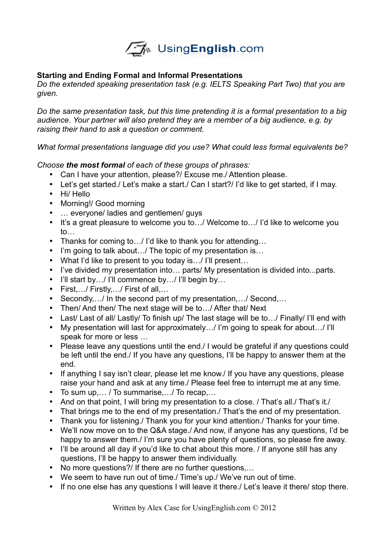

## **Starting and Ending Formal and Informal Presentations**

*Do the extended speaking presentation task (e.g. IELTS Speaking Part Two) that you are given.*

*Do the same presentation task, but this time pretending it is a formal presentation to a big audience. Your partner will also pretend they are a member of a big audience, e.g. by raising their hand to ask a question or comment.*

*What formal presentations language did you use? What could less formal equivalents be?*

## *Choose the most formal of each of these groups of phrases:*

- Can I have your attention, please?/ Excuse me./ Attention please.
- Let's get started./ Let's make a start./ Can I start?/ I'd like to get started, if I may.
- Hi/ Hello
- Morning!/ Good morning
- … everyone/ ladies and gentlemen/ guys
- It's a great pleasure to welcome you to…/ Welcome to…/ I'd like to welcome you to…
- Thanks for coming to…/ I'd like to thank you for attending…
- I'm going to talk about.../ The topic of my presentation is...
- What I'd like to present to you today is…/ I'll present…
- I've divided my presentation into… parts/ My presentation is divided into...parts.
- I'll start by.../ I'll commence by.../ I'll begin by...
- First,…/ Firstly,…/ First of all,…
- Secondly, ... In the second part of my presentation, ... Second,...
- Then/ And then/ The next stage will be to.../ After that/ Next
- Last/ Last of all/ Lastly/ To finish up/ The last stage will be to.../ Finally/ I'll end with
- My presentation will last for approximately…/ I'm going to speak for about…/ I'll speak for more or less …
- Please leave any questions until the end./ I would be grateful if any questions could be left until the end./ If you have any questions, I'll be happy to answer them at the end.
- If anything I say isn't clear, please let me know./ If you have any questions, please raise your hand and ask at any time./ Please feel free to interrupt me at any time.
- To sum up,… / To summarise,…/ To recap,…
- And on that point, I will bring my presentation to a close. / That's all./ That's it./
- That brings me to the end of my presentation. That's the end of my presentation.
- Thank you for listening./ Thank you for your kind attention./ Thanks for your time.
- We'll now move on to the Q&A stage./ And now, if anyone has any questions, I'd be happy to answer them./ I'm sure you have plenty of questions, so please fire away.
- I'll be around all day if you'd like to chat about this more. I If anyone still has any questions, I'll be happy to answer them individually.
- No more questions?/ If there are no further questions....
- We seem to have run out of time./ Time's up./ We've run out of time.
- If no one else has any questions I will leave it there./ Let's leave it there/ stop there.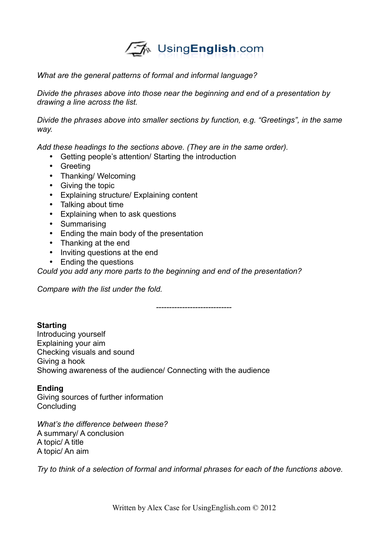# √A UsingEnglish.com

#### *What are the general patterns of formal and informal language?*

*Divide the phrases above into those near the beginning and end of a presentation by drawing a line across the list.*

*Divide the phrases above into smaller sections by function, e.g. "Greetings", in the same way.*

*Add these headings to the sections above. (They are in the same order).*

- Getting people's attention/ Starting the introduction
- Greeting
- Thanking/ Welcoming
- Giving the topic
- Explaining structure/ Explaining content
- Talking about time
- Explaining when to ask questions
- Summarising
- Ending the main body of the presentation
- Thanking at the end
- Inviting questions at the end
- Ending the questions

*Could you add any more parts to the beginning and end of the presentation?*

*Compare with the list under the fold.*

*-----------------------------*

# **Starting**

Introducing yourself Explaining your aim Checking visuals and sound Giving a hook Showing awareness of the audience/ Connecting with the audience

#### **Ending**

Giving sources of further information **Concluding** 

*What's the difference between these?* A summary/ A conclusion A topic/ A title A topic/ An aim

*Try to think of a selection of formal and informal phrases for each of the functions above.*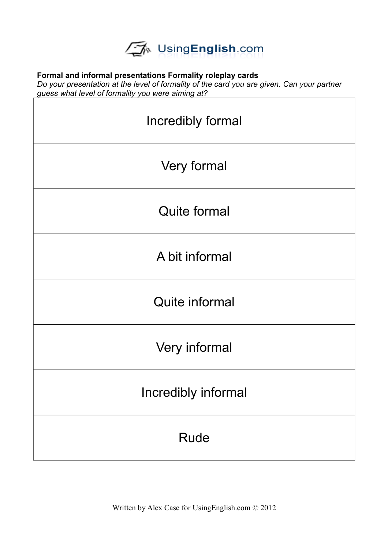

## **Formal and informal presentations Formality roleplay cards**

*Do your presentation at the level of formality of the card you are given. Can your partner guess what level of formality you were aiming at?*

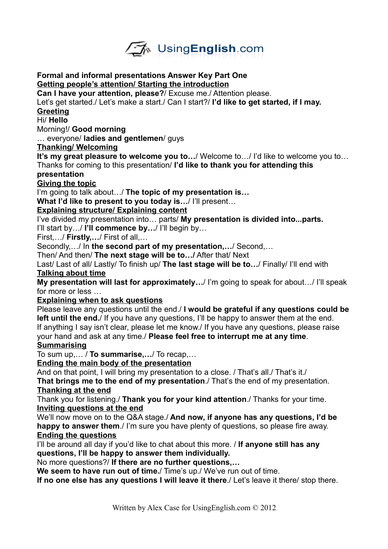

#### **Formal and informal presentations Answer Key Part One Getting people 's attention/ Starting the introduction**

**Can I have your attention, please?**/ Excuse me./ Attention please.

Let's get started./ Let's make a start./ Can I start?/ **I'd like to get started, if I may.**

# **Greeting**

#### Hi/ **Hello**

Morning!/ **Good morning**

… everyone/ **ladies and gentlemen**/ guys

## **Thanking/ Welcoming**

**It's my great pleasure to welcome you to…**/ Welcome to…/ I'd like to welcome you to… Thanks for coming to this presentation/ **I'd like to thank you for attending this**

## **presentation**

# **Giving the topic**

I'm going to talk about…/ **The topic of my presentation is…**

**What I'd like to present to you today is…**/ I'll present…

# **Explaining structure/ Explaining content**

I've divided my presentation into… parts/ **My presentation is divided into...parts.**

I'll start by…/ **I'll commence by…**/ I'll begin by…

First,…/ **Firstly,…**/ First of all,…

Secondly,…/ In **the second part of my presentation,…**/ Second,…

Then/ And then/ **The next stage will be to…/** After that/ Next

Last/ Last of all/ Lastly/ To finish up/ **The last stage will be to…**/ Finally/ I'll end with  **Talking about time**

**My presentation will last for approximately…**/ I'm going to speak for about…/ I'll speak for more or less

# **Explaining when to ask questions**

Please leave any questions until the end./ **I would be grateful if any questions could be left until the end.**/ If you have any questions, I'll be happy to answer them at the end. If anything I say isn't clear, please let me know./ If you have any questions, please raise your hand and ask at any time./ **Please feel free to interrupt me at any time**. **Summarising**

To sum up,… / **To summarise,…**/ To recap,…

# **Ending the main body of the presentation**

And on that point, I will bring my presentation to a close. / That's all./ That's it./ **That brings me to the end of my presentation**./ That's the end of my presentation.  **Thanking at the end**

Thank you for listening./ **Thank you for your kind attention**./ Thanks for your time.  **Inviting questions at the end**

We'll now move on to the Q&A stage./ **And now, if anyone has any questions, I'd be happy to answer them**./ I'm sure you have plenty of questions, so please fire away.  **Ending the questions**

I'll be around all day if you'd like to chat about this more. / **If anyone still has any questions, I'll be happy to answer them individually.**

No more questions?/ **If there are no further questions,…**

**We seem to have run out of time.**/ Time's up./ We've run out of time.

**If no one else has any questions I will leave it there**./ Let's leave it there/ stop there.